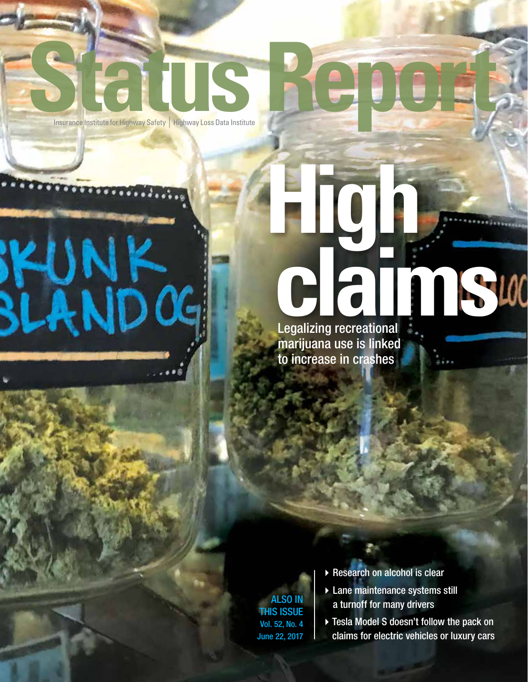# Status Report

**High IKUNK**<br>BLANDOG **c**<br>Legalizing recreational

Legalizing recreational marijuana use is linked to increase in crashes

ALSO IN THIS ISSUE Vol. 52, No. 4 June 22, 2017

- $\blacktriangleright$  Research on alcohol is clear
- ▶ Lane maintenance systems still a turnoff for many drivers

▶ Tesla Model S doesn't follow the pack on claims for electric vehicles or luxury cars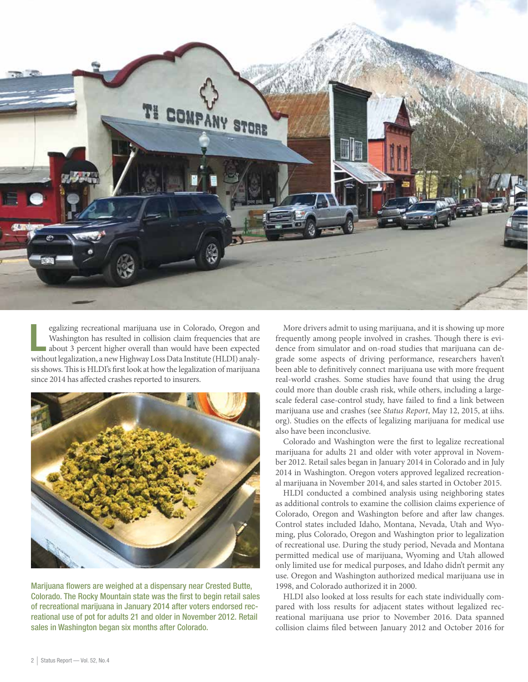

 $\overline{\mathbf{L}}$ egalizing recreational marijuana use in Colorado, Oregon and Washington has resulted in collision claim frequencies that are about 3 percent higher overall than would have been expected without legalization, a new Highway Loss Data Institute (HLDI) analysis shows. This is HLDI's first look at how the legalization of marijuana since 2014 has affected crashes reported to insurers.



Marijuana flowers are weighed at a dispensary near Crested Butte, Colorado. The Rocky Mountain state was the first to begin retail sales of recreational marijuana in January 2014 after voters endorsed recreational use of pot for adults 21 and older in November 2012. Retail sales in Washington began six months after Colorado.

More drivers admit to using marijuana, and it is showing up more frequently among people involved in crashes. Though there is evidence from simulator and on-road studies that marijuana can degrade some aspects of driving performance, researchers haven't been able to definitively connect marijuana use with more frequent real-world crashes. Some studies have found that using the drug could more than double crash risk, while others, including a largescale federal case-control study, have failed to find a link between marijuana use and crashes (see *Status Report*, May 12, 2015, at iihs. org). Studies on the effects of legalizing marijuana for medical use also have been inconclusive.

Colorado and Washington were the first to legalize recreational marijuana for adults 21 and older with voter approval in November 2012. Retail sales began in January 2014 in Colorado and in July 2014 in Washington. Oregon voters approved legalized recreational marijuana in November 2014, and sales started in October 2015.

HLDI conducted a combined analysis using neighboring states as additional controls to examine the collision claims experience of Colorado, Oregon and Washington before and after law changes. Control states included Idaho, Montana, Nevada, Utah and Wyoming, plus Colorado, Oregon and Washington prior to legalization of recreational use. During the study period, Nevada and Montana permitted medical use of marijuana, Wyoming and Utah allowed only limited use for medical purposes, and Idaho didn't permit any use. Oregon and Washington authorized medical marijuana use in 1998, and Colorado authorized it in 2000.

HLDI also looked at loss results for each state individually compared with loss results for adjacent states without legalized recreational marijuana use prior to November 2016. Data spanned collision claims filed between January 2012 and October 2016 for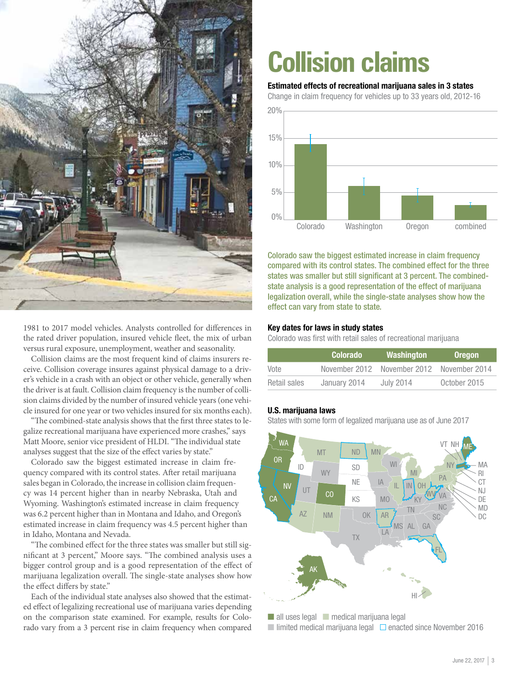

1981 to 2017 model vehicles. Analysts controlled for differences in the rated driver population, insured vehicle fleet, the mix of urban versus rural exposure, unemployment, weather and seasonality.

Collision claims are the most frequent kind of claims insurers receive. Collision coverage insures against physical damage to a driver's vehicle in a crash with an object or other vehicle, generally when the driver is at fault. Collision claim frequency is the number of collision claims divided by the number of insured vehicle years (one vehicle insured for one year or two vehicles insured for six months each).

"The combined-state analysis shows that the first three states to legalize recreational marijuana have experienced more crashes," says Matt Moore, senior vice president of HLDI. "The individual state analyses suggest that the size of the effect varies by state."

Colorado saw the biggest estimated increase in claim frequency compared with its control states. After retail marijuana sales began in Colorado, the increase in collision claim frequency was 14 percent higher than in nearby Nebraska, Utah and Wyoming. Washington's estimated increase in claim frequency was 6.2 percent higher than in Montana and Idaho, and Oregon's estimated increase in claim frequency was 4.5 percent higher than in Idaho, Montana and Nevada.

"The combined effect for the three states was smaller but still significant at 3 percent," Moore says. "The combined analysis uses a bigger control group and is a good representation of the effect of marijuana legalization overall. The single-state analyses show how the effect differs by state."

Each of the individual state analyses also showed that the estimated effect of legalizing recreational use of marijuana varies depending on the comparison state examined. For example, results for Colorado vary from a 3 percent rise in claim frequency when compared

## **Collision claims**

#### Estimated effects of recreational marijuana sales in 3 states

Change in claim frequency for vehicles up to 33 years old, 2012-16



Colorado saw the biggest estimated increase in claim frequency compared with its control states. The combined effect for the three states was smaller but still significant at 3 percent. The combinedstate analysis is a good representation of the effect of marijuana legalization overall, while the single-state analyses show how the effect can vary from state to state.

#### Key dates for laws in study states

Colorado was first with retail sales of recreational marijuana

|              | <b>Colorado</b> | Washington    | <b>Oregon</b> |
|--------------|-----------------|---------------|---------------|
| Vote         | November 2012   | November 2012 | November 2014 |
| Retail sales | January 2014    | July 2014     | October 2015  |

#### U.S. marijuana laws

States with some form of legalized marijuana use as of June 2017



■ all uses legal ■ medical marijuana legal ■ limited medical marijuana legal  $□$  enacted since November 2016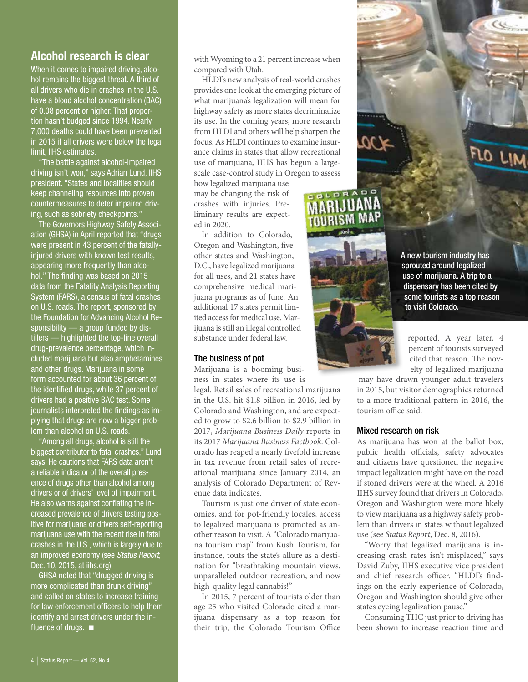### Alcohol research is clear

When it comes to impaired driving, alcohol remains the biggest threat. A third of all drivers who die in crashes in the U.S. have a blood alcohol concentration (BAC) of 0.08 percent or higher. That proportion hasn't budged since 1994. Nearly 7,000 deaths could have been prevented in 2015 if all drivers were below the legal limit, IIHS estimates.

"The battle against alcohol-impaired driving isn't won," says Adrian Lund, IIHS president. "States and localities should keep channeling resources into proven countermeasures to deter impaired driving, such as sobriety checkpoints.'

The Governors Highway Safety Association (GHSA) in April reported that "drugs were present in 43 percent of the fatallyinjured drivers with known test results, appearing more frequently than alcohol." The finding was based on 2015 data from the Fatality Analysis Reporting System (FARS), a census of fatal crashes on U.S. roads. The report, sponsored by the Foundation for Advancing Alcohol Responsibility — a group funded by distillers — highlighted the top-line overall drug-prevalence percentage, which included marijuana but also amphetamines and other drugs. Marijuana in some form accounted for about 36 percent of the identified drugs, while 37 percent of drivers had a positive BAC test. Some journalists interpreted the findings as implying that drugs are now a bigger problem than alcohol on U.S. roads.

"Among all drugs, alcohol is still the biggest contributor to fatal crashes," Lund says. He cautions that FARS data aren't a reliable indicator of the overall presence of drugs other than alcohol among drivers or of drivers' level of impairment. He also warns against conflating the increased prevalence of drivers testing positive for marijuana or drivers self-reporting marijuana use with the recent rise in fatal crashes in the U.S., which is largely due to an improved economy (see Status Report, Dec. 10, 2015, at iihs.org).

GHSA noted that "drugged driving is more complicated than drunk driving" and called on states to increase training for law enforcement officers to help them identify and arrest drivers under the influence of drugs.  $\blacksquare$ 

with Wyoming to a 21 percent increase when compared with Utah.

HLDI's new analysis of real-world crashes provides one look at the emerging picture of what marijuana's legalization will mean for highway safety as more states decriminalize its use. In the coming years, more research from HLDI and others will help sharpen the focus. As HLDI continues to examine insurance claims in states that allow recreational use of marijuana, IIHS has begun a largescale case-control study in Oregon to assess

how legalized marijuana use may be changing the risk of crashes with injuries. Preliminary results are expected in 2020.

In addition to Colorado, Oregon and Washington, five other states and Washington, D.C., have legalized marijuana for all uses, and 21 states have comprehensive medical marijuana programs as of June. An additional 17 states permit limited access for medical use. Marijuana is still an illegal controlled substance under federal law.

#### The business of pot

Marijuana is a booming business in states where its use is

legal. Retail sales of recreational marijuana in the U.S. hit \$1.8 billion in 2016, led by Colorado and Washington, and are expected to grow to \$2.6 billion to \$2.9 billion in 2017, *Marijuana Business Daily* reports in its 2017 *Marijuana Business Factbook*. Colorado has reaped a nearly fivefold increase in tax revenue from retail sales of recreational marijuana since January 2014, an analysis of Colorado Department of Revenue data indicates.

Tourism is just one driver of state economies, and for pot-friendly locales, access to legalized marijuana is promoted as another reason to visit. A "Colorado marijuana tourism map" from Kush Tourism, for instance, touts the state's allure as a destination for "breathtaking mountain views, unparalleled outdoor recreation, and now high-quality legal cannabis!"

In 2015, 7 percent of tourists older than age 25 who visited Colorado cited a marijuana dispensary as a top reason for their trip, the Colorado Tourism Office A new tourism industry has sprouted around legalized use of marijuana. A trip to a dispensary has been cited by some tourists as a top reason to visit Colorado.

 $Q_{\text{train}}$ 

FLO LIM

reported. A year later, 4 percent of tourists surveyed cited that reason. The novelty of legalized marijuana

may have drawn younger adult travelers in 2015, but visitor demographics returned to a more traditional pattern in 2016, the tourism office said.

#### Mixed research on risk

As marijuana has won at the ballot box, public health officials, safety advocates and citizens have questioned the negative impact legalization might have on the road if stoned drivers were at the wheel. A 2016 IIHS survey found that drivers in Colorado, Oregon and Washington were more likely to view marijuana as a highway safety problem than drivers in states without legalized use (see *Status Report*, Dec. 8, 2016).

"Worry that legalized marijuana is increasing crash rates isn't misplaced," says David Zuby, IIHS executive vice president and chief research officer. "HLDI's findings on the early experience of Colorado, Oregon and Washington should give other states eyeing legalization pause."

Consuming THC just prior to driving has been shown to increase reaction time and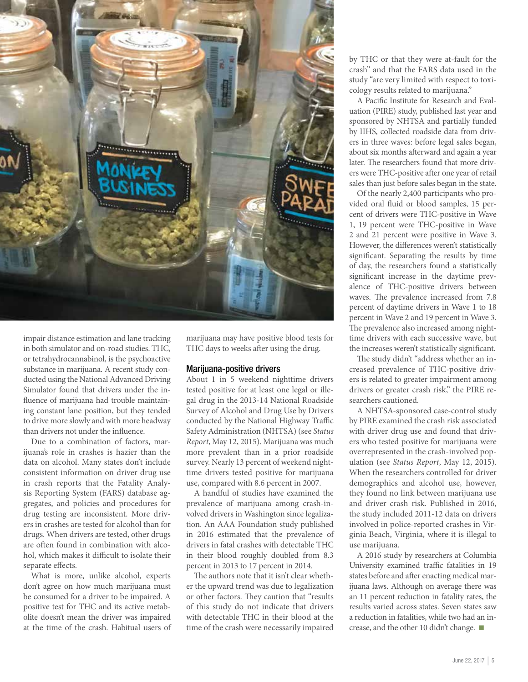

impair distance estimation and lane tracking in both simulator and on-road studies. THC, or tetrahydrocannabinol, is the psychoactive substance in marijuana. A recent study conducted using the National Advanced Driving Simulator found that drivers under the influence of marijuana had trouble maintaining constant lane position, but they tended to drive more slowly and with more headway than drivers not under the influence.

Due to a combination of factors, marijuana's role in crashes is hazier than the data on alcohol. Many states don't include consistent information on driver drug use in crash reports that the Fatality Analysis Reporting System (FARS) database aggregates, and policies and procedures for drug testing are inconsistent. More drivers in crashes are tested for alcohol than for drugs. When drivers are tested, other drugs are often found in combination with alcohol, which makes it difficult to isolate their separate effects.

What is more, unlike alcohol, experts don't agree on how much marijuana must be consumed for a driver to be impaired. A positive test for THC and its active metabolite doesn't mean the driver was impaired at the time of the crash. Habitual users of

marijuana may have positive blood tests for THC days to weeks after using the drug.

#### Marijuana-positive drivers

About 1 in 5 weekend nighttime drivers tested positive for at least one legal or illegal drug in the 2013-14 National Roadside Survey of Alcohol and Drug Use by Drivers conducted by the National Highway Traffic Safety Administration (NHTSA) (see *Status Report*, May 12, 2015). Marijuana was much more prevalent than in a prior roadside survey. Nearly 13 percent of weekend nighttime drivers tested positive for marijuana use, compared with 8.6 percent in 2007.

A handful of studies have examined the prevalence of marijuana among crash-involved drivers in Washington since legalization. An AAA Foundation study published in 2016 estimated that the prevalence of drivers in fatal crashes with detectable THC in their blood roughly doubled from 8.3 percent in 2013 to 17 percent in 2014.

The authors note that it isn't clear whether the upward trend was due to legalization or other factors. They caution that "results of this study do not indicate that drivers with detectable THC in their blood at the time of the crash were necessarily impaired

by THC or that they were at-fault for the crash" and that the FARS data used in the study "are very limited with respect to toxicology results related to marijuana."

A Pacific Institute for Research and Evaluation (PIRE) study, published last year and sponsored by NHTSA and partially funded by IIHS, collected roadside data from drivers in three waves: before legal sales began, about six months afterward and again a year later. The researchers found that more drivers were THC-positive after one year of retail sales than just before sales began in the state.

Of the nearly 2,400 participants who provided oral fluid or blood samples, 15 percent of drivers were THC-positive in Wave 1, 19 percent were THC-positive in Wave 2 and 21 percent were positive in Wave 3. However, the differences weren't statistically significant. Separating the results by time of day, the researchers found a statistically significant increase in the daytime prevalence of THC-positive drivers between waves. The prevalence increased from 7.8 percent of daytime drivers in Wave 1 to 18 percent in Wave 2 and 19 percent in Wave 3. The prevalence also increased among nighttime drivers with each successive wave, but the increases weren't statistically significant.

The study didn't "address whether an increased prevalence of THC-positive drivers is related to greater impairment among drivers or greater crash risk," the PIRE researchers cautioned.

A NHTSA-sponsored case-control study by PIRE examined the crash risk associated with driver drug use and found that drivers who tested positive for marijuana were overrepresented in the crash-involved population (see *Status Report*, May 12, 2015). When the researchers controlled for driver demographics and alcohol use, however, they found no link between marijuana use and driver crash risk. Published in 2016, the study included 2011-12 data on drivers involved in police-reported crashes in Virginia Beach, Virginia, where it is illegal to use marijuana.

A 2016 study by researchers at Columbia University examined traffic fatalities in 19 states before and after enacting medical marijuana laws. Although on average there was an 11 percent reduction in fatality rates, the results varied across states. Seven states saw a reduction in fatalities, while two had an increase, and the other 10 didn't change.  $\blacksquare$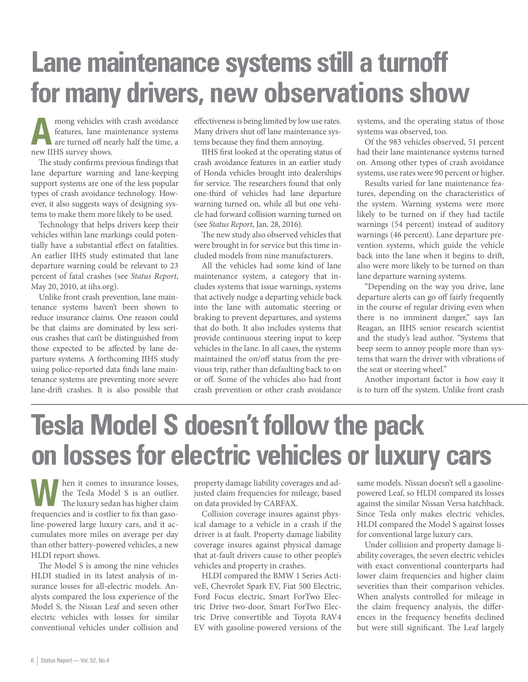## **Lane maintenance systems still a turnoff for many drivers, new observations show**

mong vehicles with crash avoidance<br>
features, lane maintenance systems<br>
are turned off nearly half the time, a features, lane maintenance systems new IIHS survey shows.

The study confirms previous findings that lane departure warning and lane-keeping support systems are one of the less popular types of crash avoidance technology. However, it also suggests ways of designing systems to make them more likely to be used.

Technology that helps drivers keep their vehicles within lane markings could potentially have a substantial effect on fatalities. An earlier IIHS study estimated that lane departure warning could be relevant to 23 percent of fatal crashes (see *Status Report*, May 20, 2010, at iihs.org).

Unlike front crash prevention, lane maintenance systems haven't been shown to reduce insurance claims. One reason could be that claims are dominated by less serious crashes that can't be distinguished from those expected to be affected by lane departure systems. A forthcoming IIHS study using police-reported data finds lane maintenance systems are preventing more severe lane-drift crashes. It is also possible that

effectiveness is being limited by low use rates. Many drivers shut off lane maintenance systems because they find them annoying.

IIHS first looked at the operating status of crash avoidance features in an earlier study of Honda vehicles brought into dealerships for service. The researchers found that only one-third of vehicles had lane departure warning turned on, while all but one vehicle had forward collision warning turned on (see *Status Report*, Jan. 28, 2016).

The new study also observed vehicles that were brought in for service but this time included models from nine manufacturers.

All the vehicles had some kind of lane maintenance system, a category that includes systems that issue warnings, systems that actively nudge a departing vehicle back into the lane with automatic steering or braking to prevent departures, and systems that do both. It also includes systems that provide continuous steering input to keep vehicles in the lane. In all cases, the systems maintained the on/off status from the previous trip, rather than defaulting back to on or off. Some of the vehicles also had front crash prevention or other crash avoidance

systems, and the operating status of those systems was observed, too.

Of the 983 vehicles observed, 51 percent had their lane maintenance systems turned on. Among other types of crash avoidance systems, use rates were 90 percent or higher.

Results varied for lane maintenance features, depending on the characteristics of the system. Warning systems were more likely to be turned on if they had tactile warnings (54 percent) instead of auditory warnings (46 percent). Lane departure prevention systems, which guide the vehicle back into the lane when it begins to drift, also were more likely to be turned on than lane departure warning systems.

"Depending on the way you drive, lane departure alerts can go off fairly frequently in the course of regular driving even when there is no imminent danger," says Ian Reagan, an IIHS senior research scientist and the study's lead author. "Systems that beep seem to annoy people more than systems that warn the driver with vibrations of the seat or steering wheel."

Another important factor is how easy it is to turn off the system. Unlike front crash

## **Tesla Model S doesn't follow the pack on losses for electric vehicles or luxury cars**

When it comes to insurance losses,<br>the Tesla Model S is an outlier.<br>The luxury sedan has higher claim the Tesla Model S is an outlier. The luxury sedan has higher claim frequencies and is costlier to fix than gasoline-powered large luxury cars, and it accumulates more miles on average per day than other battery-powered vehicles, a new HLDI report shows.

The Model S is among the nine vehicles HLDI studied in its latest analysis of insurance losses for all-electric models. Analysts compared the loss experience of the Model S, the Nissan Leaf and seven other electric vehicles with losses for similar conventional vehicles under collision and

property damage liability coverages and adjusted claim frequencies for mileage, based on data provided by CARFAX.

Collision coverage insures against physical damage to a vehicle in a crash if the driver is at fault. Property damage liability coverage insures against physical damage that at-fault drivers cause to other people's vehicles and property in crashes.

HLDI compared the BMW 1 Series ActiveE, Chevrolet Spark EV, Fiat 500 Electric, Ford Focus electric, Smart ForTwo Electric Drive two-door, Smart ForTwo Electric Drive convertible and Toyota RAV4 EV with gasoline-powered versions of the

same models. Nissan doesn't sell a gasolinepowered Leaf, so HLDI compared its losses against the similar Nissan Versa hatchback. Since Tesla only makes electric vehicles, HLDI compared the Model S against losses for conventional large luxury cars.

Under collision and property damage liability coverages, the seven electric vehicles with exact conventional counterparts had lower claim frequencies and higher claim severities than their comparison vehicles. When analysts controlled for mileage in the claim frequency analysis, the differences in the frequency benefits declined but were still significant. The Leaf largely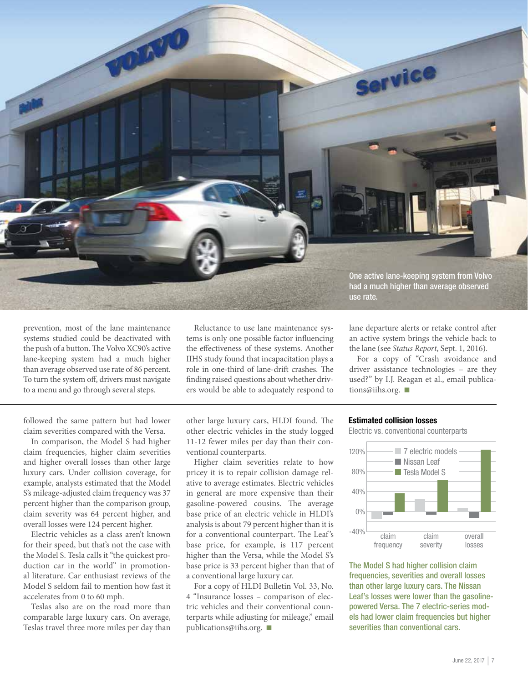

prevention, most of the lane maintenance systems studied could be deactivated with the push of a button. The Volvo XC90's active lane-keeping system had a much higher than average observed use rate of 86 percent. To turn the system off, drivers must navigate to a menu and go through several steps.

followed the same pattern but had lower claim severities compared with the Versa.

In comparison, the Model S had higher claim frequencies, higher claim severities and higher overall losses than other large luxury cars. Under collision coverage, for example, analysts estimated that the Model S's mileage-adjusted claim frequency was 37 percent higher than the comparison group, claim severity was 64 percent higher, and overall losses were 124 percent higher.

Electric vehicles as a class aren't known for their speed, but that's not the case with the Model S. Tesla calls it "the quickest production car in the world" in promotional literature. Car enthusiast reviews of the Model S seldom fail to mention how fast it accelerates from 0 to 60 mph.

Teslas also are on the road more than comparable large luxury cars. On average, Teslas travel three more miles per day than

Reluctance to use lane maintenance systems is only one possible factor influencing the effectiveness of these systems. Another IIHS study found that incapacitation plays a role in one-third of lane-drift crashes. The finding raised questions about whether drivers would be able to adequately respond to

other large luxury cars, HLDI found. The other electric vehicles in the study logged 11-12 fewer miles per day than their conventional counterparts.

Higher claim severities relate to how pricey it is to repair collision damage relative to average estimates. Electric vehicles in general are more expensive than their gasoline-powered cousins. The average base price of an electric vehicle in HLDI's analysis is about 79 percent higher than it is for a conventional counterpart. The Leaf 's base price, for example, is 117 percent higher than the Versa, while the Model S's base price is 33 percent higher than that of a conventional large luxury car.

For a copy of HLDI Bulletin Vol. 33, No. 4 "Insurance losses – comparison of electric vehicles and their conventional counterparts while adjusting for mileage," email publications@iihs.org.  $\blacksquare$ 

lane departure alerts or retake control after

an active system brings the vehicle back to the lane (see *Status Report*, Sept. 1, 2016).

For a copy of "Crash avoidance and driver assistance technologies – are they used?" by I.J. Reagan et al., email publications@iihs.org.  $\blacksquare$ 

#### Estimated collision losses

Electric vs. conventional counterparts



The Model S had higher collision claim frequencies, severities and overall losses than other large luxury cars. The Nissan Leaf's losses were lower than the gasolinepowered Versa. The 7 electric-series models had lower claim frequencies but higher severities than conventional cars.